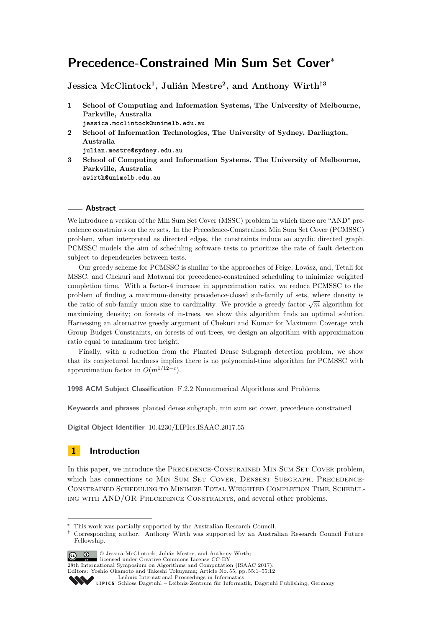# **Precedence-Constrained Min Sum Set Cover**<sup>∗</sup>

**Jessica McClintock<sup>1</sup> , Julián Mestre<sup>2</sup> , and Anthony Wirth**†**<sup>3</sup>**

- **1 School of Computing and Information Systems, The University of Melbourne, Parkville, Australia jessica.mcclintock@unimelb.edu.au**
- **2 School of Information Technologies, The University of Sydney, Darlington, Australia julian.mestre@sydney.edu.au**
- **3 School of Computing and Information Systems, The University of Melbourne, Parkville, Australia awirth@unimelb.edu.au**

#### **Abstract**

We introduce a version of the Min Sum Set Cover (MSSC) problem in which there are "AND" precedence constraints on the *m* sets. In the Precedence-Constrained Min Sum Set Cover (PCMSSC) problem, when interpreted as directed edges, the constraints induce an acyclic directed graph. PCMSSC models the aim of scheduling software tests to prioritize the rate of fault detection subject to dependencies between tests.

Our greedy scheme for PCMSSC is similar to the approaches of Feige, Lovász, and, Tetali for MSSC, and Chekuri and Motwani for precedence-constrained scheduling to minimize weighted completion time. With a factor-4 increase in approximation ratio, we reduce PCMSSC to the problem of finding a maximum-density precedence-closed sub-family of sets, where density is the ratio of sub-family union size to cardinality. We provide a greedy factor- $\sqrt{m}$  algorithm for maximizing density; on forests of in-trees, we show this algorithm finds an optimal solution. Harnessing an alternative greedy argument of Chekuri and Kumar for Maximum Coverage with Group Budget Constraints, on forests of out-trees, we design an algorithm with approximation ratio equal to maximum tree height.

Finally, with a reduction from the Planted Dense Subgraph detection problem, we show that its conjectured hardness implies there is no polynomial-time algorithm for PCMSSC with approximation factor in  $O(m^{1/12-\epsilon})$ .

**1998 ACM Subject Classification** F.2.2 Nonnumerical Algorithms and Problems

**Keywords and phrases** planted dense subgraph, min sum set cover, precedence constrained

**Digital Object Identifier** [10.4230/LIPIcs.ISAAC.2017.55](http://dx.doi.org/10.4230/LIPIcs.ISAAC.2017.55)

# **1 Introduction**

In this paper, we introduce the PRECEDENCE-CONSTRAINED MIN SUM SET COVER problem, which has connections to MIN SUM SET COVER, DENSEST SUBGRAPH, PRECEDENCE-Constrained Scheduling to Minimize Total Weighted Completion Time, Scheduling with AND/OR Precedence Constraints, and several other problems.

<sup>†</sup> Corresponding author. Anthony Wirth was supported by an Australian Research Council Future Fellowship.



© Jessica McClintock, Julián Mestre, and Anthony Wirth; licensed under Creative Commons License CC-BY

28th International Symposium on Algorithms and Computation (ISAAC 2017).

Editors: Yoshio Okamoto and Takeshi Tokuyama; Article No. 55; pp. 55:1–55[:12](#page-11-0)

[Leibniz International Proceedings in Informatics](http://www.dagstuhl.de/lipics/)

<sup>∗</sup> This work was partially supported by the Australian Research Council.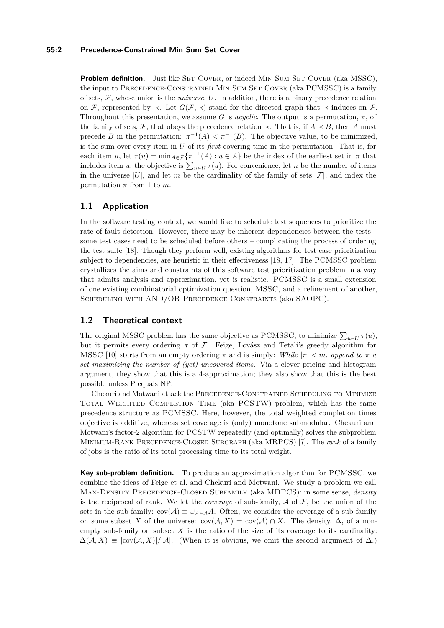### **55:2 Precedence-Constrained Min Sum Set Cover**

**Problem definition.** Just like SET COVER, or indeed MIN SUM SET COVER (aka MSSC), the input to PRECEDENCE-CONSTRAINED MIN SUM SET COVER (aka PCMSSC) is a family of sets, F, whose union is the *universe*, *U*. In addition, there is a binary precedence relation on F, represented by  $\prec$ . Let  $G(F, \prec)$  stand for the directed graph that  $\prec$  induces on F. Throughout this presentation, we assume *G* is *acyclic*. The output is a permutation,  $\pi$ , of the family of sets, F, that obeys the precedence relation  $\prec$ . That is, if  $A \prec B$ , then A must precede *B* in the permutation:  $\pi^{-1}(A) < \pi^{-1}(B)$ . The objective value, to be minimized, is the sum over every item in *U* of its *first* covering time in the permutation. That is, for each item *u*, let  $\tau(u) = \min_{A \in \mathcal{F}} \{ \pi^{-1}(A) : u \in A \}$  be the index of the earliest set in  $\pi$  that includes item *u*; the objective is  $\sum_{u \in U} \tau(u)$ . For convenience, let *n* be the number of items in the universe  $|U|$ , and let *m* be the cardinality of the family of sets  $|\mathcal{F}|$ , and index the permutation  $\pi$  from 1 to  $m$ .

# **1.1 Application**

In the software testing context, we would like to schedule test sequences to prioritize the rate of fault detection. However, there may be inherent dependencies between the tests – some test cases need to be scheduled before others – complicating the process of ordering the test suite [\[18\]](#page-11-1). Though they perform well, existing algorithms for test case prioritization subject to dependencies, are heuristic in their effectiveness [\[18,](#page-11-1) [17\]](#page-11-2). The PCMSSC problem crystallizes the aims and constraints of this software test prioritization problem in a way that admits analysis and approximation, yet is realistic. PCMSSC is a small extension of one existing combinatorial optimization question, MSSC, and a refinement of another, Scheduling with AND/OR Precedence Constraints (aka SAOPC).

# **1.2 Theoretical context**

The original MSSC problem has the same objective as PCMSSC, to minimize  $\sum_{u \in U} \tau(u)$ , but it permits every ordering *π* of F. Feige, Lovász and Tetali's greedy algorithm for MSSC [\[10\]](#page-11-3) starts from an empty ordering  $\pi$  and is simply: *While*  $|\pi| < m$ *, append to*  $\pi$  *a set maximizing the number of (yet) uncovered items.* Via a clever pricing and histogram argument, they show that this is a 4-approximation; they also show that this is the best possible unless P equals NP.

Chekuri and Motwani attack the Precedence-Constrained Scheduling to Minimize Total Weighted Completion Time (aka PCSTW) problem, which has the same precedence structure as PCMSSC. Here, however, the total weighted completion times objective is additive, whereas set coverage is (only) monotone submodular. Chekuri and Motwani's factor-2 algorithm for PCSTW repeatedly (and optimally) solves the subproblem Minimum-Rank Precedence-Closed Subgraph (aka MRPCS) [\[7\]](#page-11-4). The *rank* of a family of jobs is the ratio of its total processing time to its total weight.

**Key sub-problem definition.** To produce an approximation algorithm for PCMSSC, we combine the ideas of Feige et al. and Chekuri and Motwani. We study a problem we call Max-Density Precedence-Closed Subfamily (aka MDPCS): in some sense, *density* is the reciprocal of rank. We let the *coverage* of sub-family,  $A$  of  $F$ , be the union of the sets in the sub-family:  $cov(\mathcal{A}) \equiv \cup_{A \in \mathcal{A}} A$ . Often, we consider the coverage of a sub-family on some subset *X* of the universe:  $cov(\mathcal{A}, X) = cov(\mathcal{A}) \cap X$ . The density,  $\Delta$ , of a nonempty sub-family on subset  $X$  is the ratio of the size of its coverage to its cardinality:  $\Delta(\mathcal{A}, X) \equiv |\text{cov}(\mathcal{A}, X)|/|\mathcal{A}|.$  (When it is obvious, we omit the second argument of  $\Delta$ .)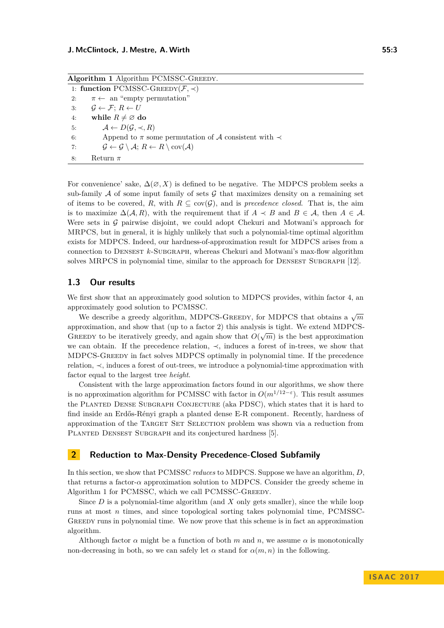<span id="page-2-0"></span>

| Algorithm 1 Algorithm PCMSSC-GREEDY.              |                                                                                                       |
|---------------------------------------------------|-------------------------------------------------------------------------------------------------------|
| 1: function PCMSSC-GREEDY( $\mathcal{F}, \prec$ ) |                                                                                                       |
| 2:                                                | $\pi \leftarrow$ an "empty permutation"                                                               |
| 3:                                                | $\mathcal{G} \leftarrow \mathcal{F} \colon R \leftarrow U$                                            |
| 4:                                                | while $R \neq \emptyset$ do                                                                           |
| 5:                                                | $\mathcal{A} \leftarrow D(\mathcal{G}, \prec, R)$                                                     |
| 6:                                                | Append to $\pi$ some permutation of A consistent with $\prec$                                         |
| 7:                                                | $\mathcal{G} \leftarrow \mathcal{G} \setminus \mathcal{A}; R \leftarrow R \setminus cov(\mathcal{A})$ |
| 8:                                                | Return $\pi$                                                                                          |

For convenience' sake,  $\Delta(\emptyset, X)$  is defined to be negative. The MDPCS problem seeks a sub-family  $A$  of some input family of sets  $G$  that maximizes density on a remaining set of items to be covered, R, with  $R \subseteq cov(G)$ , and is *precedence closed*. That is, the aim is to maximize  $\Delta(A, R)$ , with the requirement that if  $A \prec B$  and  $B \in \mathcal{A}$ , then  $A \in \mathcal{A}$ . Were sets in  $G$  pairwise disjoint, we could adopt Chekuri and Motwani's approach for MRPCS, but in general, it is highly unlikely that such a polynomial-time optimal algorithm exists for MDPCS. Indeed, our hardness-of-approximation result for MDPCS arises from a connection to DENSEST *k*-SUBGRAPH, whereas Chekuri and Motwani's max-flow algorithm solves MRPCS in polynomial time, similar to the approach for DENSEST SUBGRAPH [\[12\]](#page-11-5).

### **1.3 Our results**

We first show that an approximately good solution to MDPCS provides, within factor 4, an approximately good solution to PCMSSC.

We describe a greedy algorithm, MDPCS-GREEDY, for MDPCS that obtains a  $\sqrt{m}$ approximation, and show that (up to a factor 2) this analysis is tight. We extend MDPCS-GREEDY to be iteratively greedy, and again show that  $O(\sqrt{m})$  is the best approximation we can obtain. If the precedence relation, ≺, induces a forest of in-trees, we show that MDPCS-Greedy in fact solves MDPCS optimally in polynomial time. If the precedence relation, ≺, induces a forest of out-trees, we introduce a polynomial-time approximation with factor equal to the largest tree *height*.

Consistent with the large approximation factors found in our algorithms, we show there is no approximation algorithm for PCMSSC with factor in  $O(m^{1/12-\epsilon})$ . This result assumes the PLANTED DENSE SUBGRAPH CONJECTURE (aka PDSC), which states that it is hard to find inside an Erdős-Rényi graph a planted dense E-R component. Recently, hardness of approximation of the Target Set Selection problem was shown via a reduction from PLANTED DENSEST SUBGRAPH and its conjectured hardness [\[5\]](#page-11-6).

### **2 Reduction to Max-Density Precedence-Closed Subfamily**

In this section, we show that PCMSSC *reduces* to MDPCS. Suppose we have an algorithm, *D*, that returns a factor-*α* approximation solution to MDPCS. Consider the greedy scheme in Algorithm [1](#page-2-0) for PCMSSC, which we call PCMSSC-GREEDY.

Since *D* is a polynomial-time algorithm (and *X* only gets smaller), since the while loop runs at most *n* times, and since topological sorting takes polynomial time, PCMSSC-Greedy runs in polynomial time. We now prove that this scheme is in fact an approximation algorithm.

Although factor  $\alpha$  might be a function of both  $m$  and  $n$ , we assume  $\alpha$  is monotonically non-decreasing in both, so we can safely let  $\alpha$  stand for  $\alpha(m, n)$  in the following.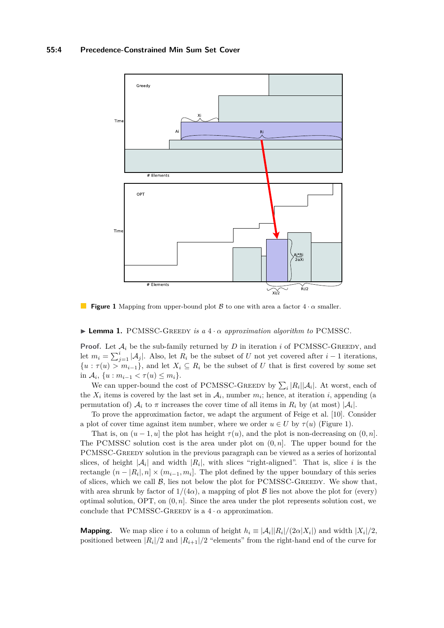<span id="page-3-0"></span>

**Figure 1** Mapping from upper-bound plot B to one with area a factor  $4 \cdot \alpha$  smaller.

### <span id="page-3-1"></span>**Lemma 1.** PCMSSC-GREEDY *is a*  $4 \cdot \alpha$  *approximation algorithm to* PCMSSC.

**Proof.** Let  $A_i$  be the sub-family returned by  $D$  in iteration  $i$  of PCMSSC-GREEDY, and let  $m_i = \sum_{j=1}^i |\mathcal{A}_j|$ . Also, let  $R_i$  be the subset of *U* not yet covered after *i* − 1 iterations,  ${u : \tau(u) > m_{i-1}}$ , and let  $X_i \subseteq R_i$  be the subset of *U* that is first covered by some set in  $A_i$ ,  $\{u : m_{i-1} < \tau(u) \leq m_i\}.$ 

We can upper-bound the cost of PCMSSC-GREEDY by  $\sum_i |R_i| |\mathcal{A}_i|$ . At worst, each of the  $X_i$  items is covered by the last set in  $A_i$ , number  $m_i$ ; hence, at iteration *i*, appending (a permutation of)  $A_i$  to  $\pi$  increases the cover time of all items in  $R_i$  by (at most)  $|A_i|$ .

To prove the approximation factor, we adapt the argument of Feige et al. [\[10\]](#page-11-3). Consider a plot of cover time against item number, where we order  $u \in U$  by  $\tau(u)$  (Figure [1\)](#page-3-0).

That is, on  $(u - 1, u]$  the plot has height  $\tau(u)$ , and the plot is non-decreasing on  $(0, n]$ . The PCMSSC solution cost is the area under plot on (0*, n*]. The upper bound for the PCMSSC-Greedy solution in the previous paragraph can be viewed as a series of horizontal slices, of height  $|\mathcal{A}_i|$  and width  $|R_i|$ , with slices "right-aligned". That is, slice *i* is the rectangle  $(n - |R_i|, n] \times (m_{i-1}, m_i]$ . The plot defined by the upper boundary of this series of slices, which we call  $\beta$ , lies not below the plot for PCMSSC-GREEDY. We show that, with area shrunk by factor of  $1/(4\alpha)$ , a mapping of plot B lies not above the plot for (every) optimal solution, OPT, on (0*, n*]. Since the area under the plot represents solution cost, we conclude that PCMSSC-GREEDY is a  $4 \cdot \alpha$  approximation.

**Mapping.** We map slice *i* to a column of height  $h_i \equiv |\mathcal{A}_i||R_i|/(2\alpha|X_i|)$  and width  $|X_i|/2$ , positioned between  $|R_i|/2$  and  $|R_{i+1}|/2$  "elements" from the right-hand end of the curve for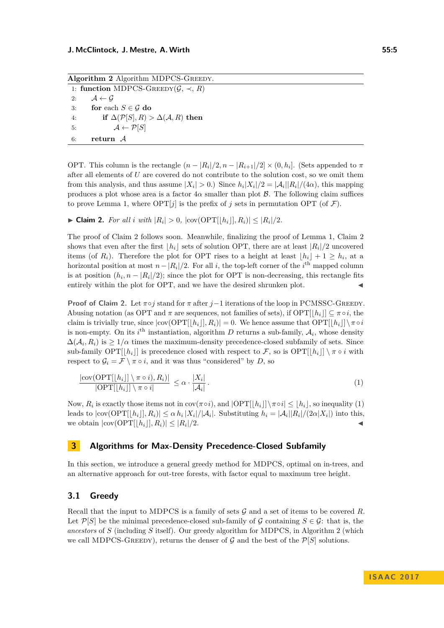<span id="page-4-2"></span>Algorithm 2 Algorithm MDPCS-GREEDY. 1: **function** MDPCS-GREEDY $(G, \prec, R)$ 2:  $A \leftarrow G$ 3: **for** each  $S \in \mathcal{G}$  do 4: **if**  $\Delta(P[S], R) > \Delta(A, R)$  **then** 5:  $A \leftarrow \mathcal{P}[S]$ 6: **return** A

OPT. This column is the rectangle  $(n - |R_i|/2, n - |R_{i+1}|/2] \times (0, h_i]$ . (Sets appended to  $\pi$ after all elements of *U* are covered do not contribute to the solution cost, so we omit them from this analysis, and thus assume  $|X_i| > 0$ .) Since  $h_i |X_i|/2 = |\mathcal{A}_i||R_i|/(4\alpha)$ , this mapping produces a plot whose area is a factor  $4\alpha$  smaller than plot B. The following claim suffices to prove Lemma [1,](#page-3-1) where  $\text{OPT}[j]$  is the prefix of *j* sets in permutation OPT (of  $\mathcal{F}$ ).

<span id="page-4-0"></span>▶ **Claim 2.** *For all i with*  $|R_i| > 0$ ,  $|\text{cov}(\text{OPT}[[h_i]], R_i)| \leq |R_i|/2$ *.* 

The proof of Claim [2](#page-4-0) follows soon. Meanwhile, finalizing the proof of Lemma [1,](#page-3-1) Claim [2](#page-4-0) shows that even after the first  $h_i$  sets of solution OPT, there are at least  $|R_i|/2$  uncovered items (of  $R_i$ ). Therefore the plot for OPT rises to a height at least  $\lfloor h_i \rfloor + 1 \ge h_i$ , at a horizontal position at most  $n - |R_i|/2$ . For all *i*, the top-left corner of the *i*<sup>th</sup> mapped column is at position  $(h_i, n - |R_i|/2)$ ; since the plot for OPT is non-decreasing, this rectangle fits entirely within the plot for OPT, and we have the desired shrunken plot.

**Proof of Claim [2.](#page-4-0)** Let *π*◦*j* stand for *π* after *j*−1 iterations of the loop in PCMSSC-Greedy. Abusing notation (as OPT and  $\pi$  are sequences, not families of sets), if  $\text{OPT}[h_i] \subseteq \pi \circ i$ , the claim is trivially true, since  $|\text{cov}(\text{OPT}[h_i|, R_i)| = 0$ . We hence assume that  $\text{OPT}[h_i|] \setminus \pi \circ i$ is non-empty. On its  $i^{\text{th}}$  instantiation, algorithm *D* returns a sub-family,  $A_i$ , whose density  $\Delta(\mathcal{A}_i, R_i)$  is  $\geq 1/\alpha$  times the maximum-density precedence-closed subfamily of sets. Since sub-family  $\text{OPT}([h_i]$  is precedence closed with respect to F, so is  $\text{OPT}([h_i] \setminus \pi \circ i$  with respect to  $\mathcal{G}_i = \mathcal{F} \setminus \pi \circ i$ , and it was thus "considered" by *D*, so

<span id="page-4-1"></span>
$$
\frac{|\text{cov}(\text{OPT}[[h_i]] \setminus \pi \circ i), R_i)|}{|\text{OPT}[[h_i]] \setminus \pi \circ i|} \leq \alpha \cdot \frac{|X_i|}{|\mathcal{A}_i|}.
$$
\n(1)

Now,  $R_i$  is exactly those items not in  $cov(\pi \circ i)$ , and  $|OPT[|h_i|] \setminus \pi \circ i| \leq \lfloor h_i \rfloor$ , so inequality [\(1\)](#page-4-1) leads to  $|\text{cov}(\text{OPT}[[h_i]], R_i)| \leq \alpha h_i |X_i|/|\mathcal{A}_i|$ . Substituting  $h_i = |\mathcal{A}_i||R_i|/(2\alpha |X_i|)$  into this, we obtain  $|\text{cov}(\text{OPT}[|h_i|], R_i)| \leq |R_i|/2$ .  $|/2$ .

### **3 Algorithms for Max-Density Precedence-Closed Subfamily**

In this section, we introduce a general greedy method for MDPCS, optimal on in-trees, and an alternative approach for out-tree forests, with factor equal to maximum tree height.

# **3.1 Greedy**

Recall that the input to MDPCS is a family of sets  $G$  and a set of items to be covered  $R$ . Let  $\mathcal{P}[S]$  be the minimal precedence-closed sub-family of G containing  $S \in \mathcal{G}$ : that is, the *ancestors* of *S* (including *S* itself). Our greedy algorithm for MDPCS, in Algorithm [2](#page-4-2) (which we call MDPCS-GREEDY), returns the denser of  $\mathcal G$  and the best of the  $\mathcal P[S]$  solutions.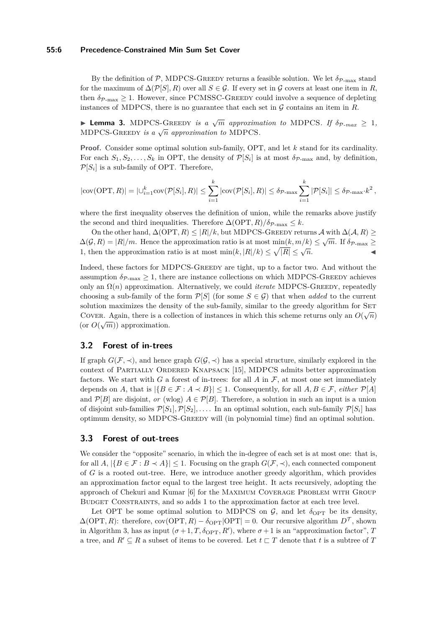#### **55:6 Precedence-Constrained Min Sum Set Cover**

By the definition of P, MDPCS-GREEDY returns a feasible solution. We let  $\delta_{\mathcal{P}-\text{max}}$  stand for the maximum of  $\Delta(\mathcal{P}[S], R)$  over all  $S \in \mathcal{G}$ . If every set in  $\mathcal{G}$  covers at least one item in R, then  $\delta_{\mathcal{P}_{\text{max}}} > 1$ . However, since PCMSSC-GREEDY could involve a sequence of depleting instances of MDPCS, there is no guarantee that each set in  $G$  contains an item in  $R$ .

**Example 3.** MDPCS-GREEDY *is a*  $\sqrt{m}$  *approximation to* MDPCS*. If*  $\delta_{p\text{-}max} \geq 1$ *,* MDPCS-GREEDY *is a*  $\sqrt{n}$  *approximation to* MDPCS.

**Proof.** Consider some optimal solution sub-family, OPT, and let *k* stand for its cardinality. For each  $S_1, S_2, \ldots, S_k$  in OPT, the density of  $\mathcal{P}[S_i]$  is at most  $\delta_{\mathcal{P}\text{-max}}$  and, by definition,  $\mathcal{P}[S_i]$  is a sub-family of OPT. Therefore,

$$
|\text{cov}(\text{OPT}, R)| = |\bigcup_{i=1}^k \text{cov}(\mathcal{P}[S_i], R)| \leq \sum_{i=1}^k |\text{cov}(\mathcal{P}[S_i], R)| \leq \delta_{\mathcal{P}\text{-max}} \sum_{i=1}^k |\mathcal{P}[S_i]| \leq \delta_{\mathcal{P}\text{-max}} \cdot k^2,
$$

where the first inequality observes the definition of union, while the remarks above justify the second and third inequalities. Therefore  $\Delta(OPT, R)/\delta_{P\text{-max}} \leq k$ .

On the other hand,  $\Delta(OPT, R) \leq |R|/k$ , but MDPCS-GREEDY returns  $\mathcal A$  with  $\Delta(\mathcal A, R) \geq$  $\Delta(\mathcal{G}, R) = |R|/m$ . Hence the approximation ratio is at most min $(k, m/k) \leq \sqrt{m}$ . If  $\delta_{\mathcal{P}_{\text{max}}} \geq$  $\Delta(\mathbf{y}, n) = |n|/m$ . Hence the approximation ratio is at most  $\min(k, |R|/k) \leq \sqrt{|R|} \leq \sqrt{n}$ .

Indeed, these factors for MDPCS-Greedy are tight, up to a factor two. And without the assumption  $\delta_{\mathcal{P}\text{-max}} \geq 1$ , there are instance collections on which MDPCS-GREEDY achieves only an Ω(*n*) approximation. Alternatively, we could *iterate* MDPCS-Greedy, repeatedly choosing a sub-family of the form  $\mathcal{P}[S]$  (for some  $S \in \mathcal{G}$ ) that when *added* to the current solution maximizes the density of the sub-family, similar to the greedy algorithm for SET COVER. Again, there is a collection of instances in which this scheme returns only an  $O(\sqrt{n})$ COVER. *Again*, there is a co<br>(or  $O(\sqrt{m})$ ) approximation.

### **3.2 Forest of in-trees**

If graph  $G(\mathcal{F}, \prec)$ , and hence graph  $G(\mathcal{G}, \prec)$  has a special structure, similarly explored in the context of Partially Ordered Knapsack [\[15\]](#page-11-7), MDPCS admits better approximation factors. We start with *G* a forest of in-trees: for all *A* in  $\mathcal{F}$ , at most one set immediately depends on *A*, that is  $|\{B \in \mathcal{F} : A \prec B\}| \leq 1$ . Consequently, for all  $A, B \in \mathcal{F}$ , *either*  $\mathcal{P}[A]$ and  $\mathcal{P}[B]$  are disjoint, *or* (wlog)  $A \in \mathcal{P}[B]$ . Therefore, a solution in such an input is a union of disjoint sub-families  $\mathcal{P}[S_1], \mathcal{P}[S_2], \ldots$ . In an optimal solution, each sub-family  $\mathcal{P}[S_i]$  has optimum density, so MDPCS-Greedy will (in polynomial time) find an optimal solution.

### **3.3 Forest of out-trees**

We consider the "opposite" scenario, in which the in-degree of each set is at most one: that is, for all  $A$ ,  $|\{B \in \mathcal{F} : B \prec A\}| \leq 1$ . Focusing on the graph  $G(\mathcal{F}, \prec)$ , each connected component of *G* is a rooted out-tree. Here, we introduce another greedy algorithm, which provides an approximation factor equal to the largest tree height. It acts recursively, adopting the approach of Chekuri and Kumar [\[6\]](#page-11-8) for the Maximum Coverage Problem with Group Budget Constraints, and so adds 1 to the approximation factor at each tree level.

Let OPT be some optimal solution to MDPCS on  $\mathcal{G}$ , and let  $\delta_{\text{OPT}}$  be its density,  $\Delta(OPT, R)$ : therefore,  $cov(OPT, R) - \delta_{OPT}|OPT| = 0$ . Our recursive algorithm  $D^{\mathcal{T}}$ , shown in Algorithm [3,](#page-6-0) has as input  $(\sigma+1, T, \delta_{\text{OPT}}, R')$ , where  $\sigma+1$  is an "approximation factor", *T* a tree, and  $R' \subseteq R$  a subset of items to be covered. Let  $t \sqsubset T$  denote that *t* is a subtree of *T*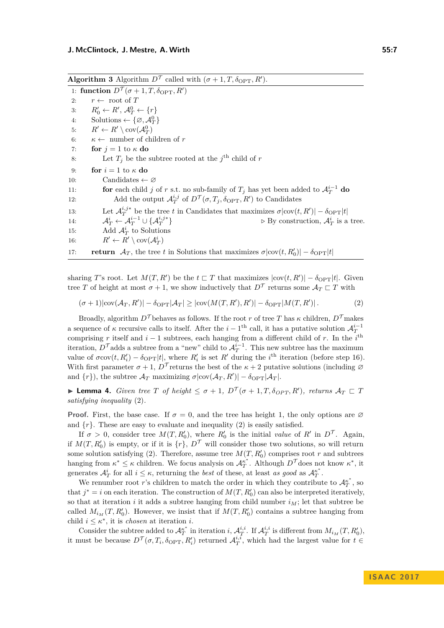<span id="page-6-0"></span>**Algorithm 3** Algorithm  $D^{\mathcal{T}}$  called with  $(\sigma + 1, T, \delta_{\text{OPT}}, R')$ .

1: **function**  $D^{\mathcal{T}}(\sigma+1, T, \delta_{\text{OPT}}, R')$ 2:  $r \leftarrow \text{root of } T$ 3:  $R'_0 \leftarrow R', \mathcal{A}_T^0 \leftarrow \{r\}$ 4: Solutions  $\leftarrow \{\varnothing, \mathcal{A}_T^0\}$ 5:  $R' \leftarrow R' \setminus \text{cov}(\mathcal{A}_T^0)$ 6:  $\kappa \leftarrow$  number of children of *r* 7: **for**  $j = 1$  to  $\kappa$  **do** 8: Let  $T_j$  be the subtree rooted at the  $j^{\text{th}}$  child of *r* 9: **for**  $i = 1$  to  $\kappa$  **do** 10: Candidates  $\leftarrow \varnothing$ 11: **for** each child *j* of *r* s.t. no sub-family of  $T_j$  has yet been added to  $\mathcal{A}_T^{i-1}$  do 12: Add the output  $\mathcal{A}_T^{i,j}$  of  $D^{\mathcal{T}}(\sigma, T_j, \delta_{\text{OPT}}, R')$  to Candidates 13: Let  $\mathcal{A}_T^{i,j*}$  be the tree *t* in Candidates that maximizes  $\sigma |\text{cov}(t, R')| - \delta_{\text{OPT}} |t|$ 14:  $\mathcal{A}_T^i \leftarrow \mathcal{A}_T^{i-1} \cup \{\mathcal{A}_T^{i,j*}\}$  $\triangleright$  By construction,  $\mathcal{A}_T^i$  is a tree. 15: Add  $\mathcal{A}_T^i$  to Solutions 16:  $R' \leftarrow R' \setminus \text{cov}(\mathcal{A}_T^i)$ 17: **return**  $\mathcal{A}_T$ , the tree *t* in Solutions that maximizes  $\sigma |\text{cov}(t, R'_0)| - \delta_{\text{OPT}} |t|$ 

sharing *T*'s root. Let  $M(T, R')$  be the  $t \subset T$  that maximizes  $|\text{cov}(t, R')| - \delta_{\text{OPT}}|t|$ . Given tree *T* of height at most  $\sigma + 1$ , we show inductively that  $D^{\mathcal{T}}$  returns some  $\mathcal{A}_T \sqsubset T$  with

<span id="page-6-1"></span>
$$
(\sigma+1)|\text{cov}(\mathcal{A}_T, R')| - \delta_{\text{OPT}}|\mathcal{A}_T| \ge |\text{cov}(M(T, R'), R')| - \delta_{\text{OPT}}|M(T, R')|.
$$
 (2)

Broadly, algorithm  $D^{\mathcal{T}}$  behaves as follows. If the root *r* of tree *T* has  $\kappa$  children,  $D^{\mathcal{T}}$  makes a sequence of  $\kappa$  recursive calls to itself. After the  $i-1$ <sup>th</sup> call, it has a putative solution  $\mathcal{A}_T^{i-1}$ comprising *r* itself and  $i - 1$  subtrees, each hanging from a different child of *r*. In the  $i<sup>th</sup>$ iteration,  $D^{\mathcal{T}}$  adds a subtree from a "new" child to  $\mathcal{A}_T^{i-1}$ . This new subtree has the maximum value of  $\sigma$ cov $(t, R'_i) - \delta$ <sub>OPT</sub> $|t|$ , where  $R'_i$  is set  $R'$  during the *i*<sup>th</sup> iteration (before step [16\)](#page-6-1). With first parameter  $\sigma + 1$ ,  $D^{\mathcal{T}}$  returns the best of the  $\kappa + 2$  putative solutions (including  $\varnothing$ and  $\{r\}$ ), the subtree  $\mathcal{A}_T$  maximizing  $\sigma |\text{cov}(\mathcal{A}_T, R')| - \delta_{\text{OPT}} |\mathcal{A}_T|$ .

<span id="page-6-2"></span>**If Lemma 4.** *Given tree T of height*  $\leq \sigma + 1$ *,*  $D^{\mathcal{T}}(\sigma + 1, T, \delta_{OPT}, R')$ *, returns*  $\mathcal{A}_T \subset T$ *satisfying inequality* [\(2\)](#page-6-1)*.*

**Proof.** First, the base case. If  $\sigma = 0$ , and the tree has height 1, the only options are  $\varnothing$ and  $\{r\}$ . These are easy to evaluate and inequality [\(2\)](#page-6-1) is easily satisfied.

If  $\sigma > 0$ , consider tree  $M(T, R'_0)$ , where  $R'_0$  is the initial *value* of  $R'$  in  $D^{\mathcal{T}}$ . Again, if  $M(T, R'_0)$  is empty, or if it is  $\{r\}$ ,  $D^{\mathcal{T}}$  will consider those two solutions, so will return some solution satisfying [\(2\)](#page-6-1). Therefore, assume tree  $M(T, R'_0)$  comprises root  $r$  and subtrees hanging from  $\kappa^* \leq \kappa$  children. We focus analysis on  $\mathcal{A}_T^{\kappa^*}$ . Although  $D^{\mathcal{T}}$  does not know  $\kappa^*$ , it generates  $\mathcal{A}_T^i$  for all  $i \leq \kappa$ , returning the *best* of these, at least *as good* as  $\mathcal{A}_T^{\kappa^*}$ .

We renumber root *r*'s children to match the order in which they contribute to  $\mathcal{A}_T^{\kappa^*}$ , so that  $j^* = i$  on each iteration. The construction of  $M(T, R_0')$  can also be interpreted iteratively, so that at iteration  $i$  it adds a subtree hanging from child number  $i_M$ ; let that subtree be called  $M_{i_M}(T, R_0')$ . However, we insist that if  $M(T, R_0')$  contains a subtree hanging from child  $i \leq \kappa^*$ , it is *chosen* at iteration *i*.

Consider the subtree added to  $\mathcal{A}_T^{\kappa^*}$  in iteration *i*,  $\mathcal{A}_T^{i,i}$ . If  $\mathcal{A}_T^{i,i}$  is different from  $M_{i_M}(T, R'_0)$ , it must be because  $D^{\mathcal{T}}(\sigma, T_i, \delta_{\text{OPT}}, R'_i)$  returned  $\mathcal{A}_T^{i, \bar{i}}$ , which had the largest value for  $t \in$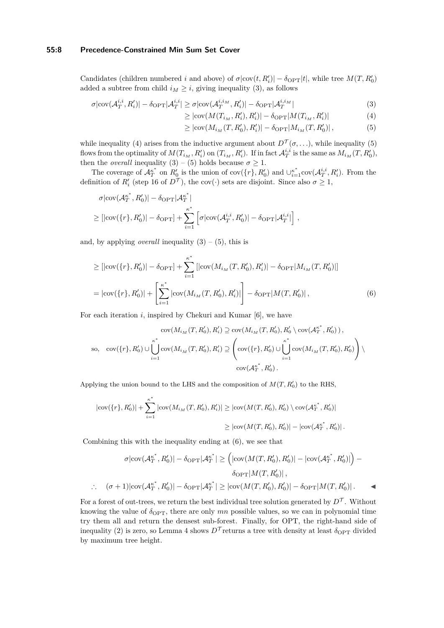#### **55:8 Precedence-Constrained Min Sum Set Cover**

Candidates (children numbered *i* and above) of  $\sigma |\text{cov}(t, R'_i)| - \delta_{\text{OPT}} |t|$ , while tree  $M(T, R'_0)$ added a subtree from child  $i_M \geq i$ , giving inequality [\(3\)](#page-7-0), as follows

$$
\sigma|\text{cov}(\mathcal{A}_T^{i,i}, R_i')| - \delta_{\text{OPT}}|\mathcal{A}_T^{i,i}| \ge \sigma|\text{cov}(\mathcal{A}_T^{i,i,M}, R_i')| - \delta_{\text{OPT}}|\mathcal{A}_T^{i,i,M}| \tag{3}
$$

$$
\geq |\text{cov}(M(T_{i_M}, R'_i), R'_i)| - \delta_{\text{OPT}} |M(T_{i_M}, R'_i)| \tag{4}
$$

<span id="page-7-3"></span><span id="page-7-2"></span><span id="page-7-1"></span><span id="page-7-0"></span>
$$
\geq |\text{cov}(M_{i_M}(T, R'_0), R'_i)| - \delta_{\text{OPT}} |M_{i_M}(T, R'_0)|,
$$
\n(5)

while inequality [\(4\)](#page-7-1) arises from the inductive argument about  $D^{\mathcal{T}}(\sigma, \ldots)$ , while inequality [\(5\)](#page-7-2) flows from the optimality of  $M(T_{i_M}, R'_i)$  on  $(T_{i_M}, R'_i)$ . If in fact  $\mathcal{A}_T^{i,i}$  is the same as  $M_{i_M}(T, R'_0)$ , then the *overall* inequality  $(3) - (5)$  $(3) - (5)$  $(3) - (5)$  holds because  $\sigma \geq 1$ .

The coverage of  $\mathcal{A}_T^{\kappa^*}$  on  $R'_0$  is the union of cov $(\{r\}, R'_0)$  and  $\cup_{i=1}^{\kappa^*}$ cov $(\mathcal{A}_T^{i,i}, R'_i)$ . From the definition of  $R_i'$  (step [16](#page-6-1) of  $D^{\mathcal{T}}$ ), the cov(·) sets are disjoint. Since also  $\sigma \geq 1$ ,

$$
\sigma|\text{cov}(\mathcal{A}_T^{\kappa^*}, R'_0)| - \delta_{\text{OPT}} |\mathcal{A}_T^{\kappa^*}|
$$
  
\n
$$
\geq [|\text{cov}(\{r\}, R'_0)| - \delta_{\text{OPT}}] + \sum_{i=1}^{\kappa^*} \left[ \sigma|\text{cov}(\mathcal{A}_T^{i,i}, R'_0)| - \delta_{\text{OPT}} |\mathcal{A}_T^{i,i}| \right],
$$

and, by applying *overall* inequality  $(3) - (5)$  $(3) - (5)$  $(3) - (5)$ , this is

$$
\geq [|\text{cov}(\{r\}, R_0')| - \delta_{\text{OPT}}] + \sum_{i=1}^{\kappa^*} [|\text{cov}(M_{i_M}(T, R_0'), R_i')| - \delta_{\text{OPT}} |M_{i_M}(T, R_0')|]
$$
  
= |\text{cov}(\{r\}, R\_0')| + \left[ \sum\_{i=1}^{\kappa^\*} |\text{cov}(M\_{i\_M}(T, R\_0'), R\_i')| \right] - \delta\_{\text{OPT}} |M(T, R\_0')|, (6)

For each iteration *i*, inspired by Chekuri and Kumar [\[6\]](#page-11-8), we have

$$
cov(M_{i_{M}}(T, R'_{0}), R'_{i}) \supseteq cov(M_{i_{M}}(T, R'_{0}), R'_{0} \setminus cov(A^{k^{*}}_{T}, R'_{0})),
$$
  
so, 
$$
cov(\{r\}, R'_{0}) \cup \bigcup_{i=1}^{k^{*}} cov(M_{i_{M}}(T, R'_{0}), R'_{i}) \supseteq (\bigotimes_{i=1}^{k^{*}} cov(M_{i_{M}}(T, R'_{0}), R'_{0}) \bigotimes_{i=1}^{k^{*}} cov(M_{i_{M}}(T, R'_{0}), R'_{0})
$$

$$
cov(A^{k^{*}}_{T}, R'_{0}).
$$

Applying the union bound to the LHS and the composition of  $M(T, R'_0)$  to the RHS,

$$
|\text{cov}(\{r\}, R'_0)| + \sum_{i=1}^{\kappa^*} |\text{cov}(M_{i_M}(T, R'_0), R'_i)| \ge |\text{cov}(M(T, R'_0), R'_0) \setminus \text{cov}(\mathcal{A}_T^{\kappa^*}, R'_0)|
$$
  

$$
\ge |\text{cov}(M(T, R'_0), R'_0)| - |\text{cov}(\mathcal{A}_T^{\kappa^*}, R'_0)|.
$$

Combining this with the inequality ending at [\(6\)](#page-7-3), we see that

$$
\sigma |\text{cov}(\mathcal{A}_T^{\kappa^*}, R_0')| - \delta_{\text{OPT}} |\mathcal{A}_T^{\kappa^*}| \ge \left( |\text{cov}(M(T, R_0'), R_0')| - |\text{cov}(\mathcal{A}_T^{\kappa^*}, R_0')| \right) - \delta_{\text{OPT}} |M(T, R_0')|,
$$
  
 
$$
\therefore \quad (\sigma + 1) |\text{cov}(\mathcal{A}_T^{\kappa^*}, R_0')| - \delta_{\text{OPT}} |\mathcal{A}_T^{\kappa^*}| \ge |\text{cov}(M(T, R_0'), R_0')| - \delta_{\text{OPT}} |M(T, R_0')|.
$$

For a forest of out-trees, we return the best individual tree solution generated by  $D^{\mathcal{T}}$ . Without knowing the value of  $\delta_{\text{OPT}}$ , there are only *mn* possible values, so we can in polynomial time try them all and return the densest sub-forest. Finally, for OPT, the right-hand side of inequality [\(2\)](#page-6-1) is zero, so Lemma [4](#page-6-2) shows  $D^{\mathcal{T}}$  returns a tree with density at least  $\delta_{\text{OPT}}$  divided by maximum tree height.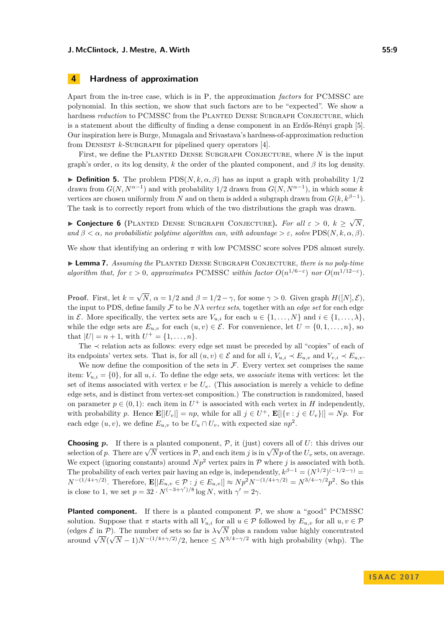# **4 Hardness of approximation**

Apart from the in-tree case, which is in P, the approximation *factors* for PCMSSC are polynomial. In this section, we show that such factors are to be "expected". We show a hardness *reduction* to PCMSSC from the PLANTED DENSE SUBGRAPH CONJECTURE, which is a statement about the difficulty of finding a dense component in an Erdős-Rényi graph [\[5\]](#page-11-6). Our inspiration here is Burge, Munagala and Srivastava's hardness-of-approximation reduction from DENSEST  $k$ -SUBGRAPH for pipelined query operators [\[4\]](#page-11-9).

First, we define the Planted Dense Subgraph Conjecture, where *N* is the input graph's order,  $\alpha$  its log density,  $k$  the order of the planted component, and  $\beta$  its log density.

**Definition 5.** The problem  $\text{PDS}(N, k, \alpha, \beta)$  has as input a graph with probability  $1/2$ drawn from  $G(N, N^{\alpha-1})$  and with probability 1/2 drawn from  $G(N, N^{\alpha-1})$ , in which some *k* vertices are chosen uniformly from *N* and on them is added a subgraph drawn from  $G(k, k^{\beta-1})$ . The task is to correctly report from which of the two distributions the graph was drawn.

I **Conjecture 6** (Planted Dense Subgraph Conjecture)**.** *For all ε >* 0*, k* ≥ √ *N, and*  $\beta < \alpha$ , *no probabilistic polytime algorithm can, with advantage*  $> \varepsilon$ , solve PDS( $N, k, \alpha, \beta$ ).

We show that identifying an ordering  $\pi$  with low PCMSSC score solves PDS almost surely.

<span id="page-8-0"></span>► **Lemma 7.** *Assuming the* PLANTED DENSE SUBGRAPH CONJECTURE, there is no poly-time *algorithm that, for*  $\varepsilon > 0$ *, approximates* PCMSSC *within factor*  $O(n^{1/6-\varepsilon})$  *nor*  $O(m^{1/12-\varepsilon})$ *.* 

**Proof.** First, let  $k =$ √  $N, \alpha = 1/2$  and  $\beta = 1/2 - \gamma$ , for some  $\gamma > 0$ . Given graph  $H([N], \mathcal{E})$ , the input to PDS, define family  $\mathcal F$  to be  $N\lambda$  *vertex sets*, together with an *edge set* for each edge in E. More specifically, the vertex sets are  $V_{u,i}$  for each  $u \in \{1, \ldots, N\}$  and  $i \in \{1, \ldots, \lambda\}$ , while the edge sets are  $E_{u,v}$  for each  $(u, v) \in \mathcal{E}$ . For convenience, let  $U = \{0, 1, \ldots, n\}$ , so that  $|U| = n + 1$ , with  $U^+ = \{1, \ldots, n\}.$ 

The ≺ relation acts as follows: every edge set must be preceded by all "copies" of each of its endpoints' vertex sets. That is, for all  $(u, v) \in \mathcal{E}$  and for all  $i, V_{u,i} \prec E_{u,v}$  and  $V_{v,i} \prec E_{u,v}$ .

We now define the composition of the sets in  $\mathcal{F}$ . Every vertex set comprises the same item:  $V_{u,i} = \{0\}$ , for all  $u, i$ . To define the edge sets, we *associate* items with vertices: let the set of items associated with vertex  $v$  be  $U_v$ . (This association is merely a vehicle to define edge sets, and is distinct from vertex-set composition.) The construction is randomized, based on parameter  $p \in (0,1)$ : each item in  $U^+$  is associated with each vertex in *H* independently, with probability *p*. Hence  $\mathbf{E}[|U_v|] = np$ , while for all  $j \in U^+$ ,  $\mathbf{E}[|\{v : j \in U_v\}|] = Np$ . For each edge  $(u, v)$ , we define  $E_{u,v}$  to be  $U_u \cap U_v$ , with expected size  $np^2$ .

**Choosing**  $p$ . If there is a planted component,  $\mathcal{P}$ , it (just) covers all of  $U$ : this drives our **Choosing** *p***.** It there is a planted component,  $P$ , it (just) covers an or  $U$ : this drives our selection of *p*. There are  $\sqrt{N}$  vertices in  $P$ , and each item *j* is in  $\sqrt{N}p$  of the  $U_v$  sets, on average. We expect (ignoring constants) around  $Np^2$  vertex pairs in  $P$  where *j* is associated with both. The probability of each vertex pair having an edge is, independently,  $k^{\beta-1} = (N^{1/2})^{(-1/2-\gamma)}$  $N^{-(1/4+\gamma/2)}$ . Therefore,  $\mathbf{E}[|E_{u,v} \in \mathcal{P} : j \in E_{u,v}] \approx Np^2N^{-(1/4+\gamma/2)} = N^{3/4-\gamma/2}p^2$ . So this is close to 1, we set  $p = 32 \cdot N^{(-3+\gamma')/8} \log N$ , with  $\gamma' = 2\gamma$ .

**Planted component.** If there is a planted component  $P$ , we show a "good" PCMSSC solution. Suppose that  $\pi$  starts with all  $V_{u,i}$  for all  $u \in \mathcal{P}$  followed by  $E_{u,v}$  for all  $u, v \in \mathcal{P}$ (edges  $\mathcal{E}$  in  $\mathcal{P}$ ). The number of sets so far is  $\lambda \sqrt{N}$  plus a random value highly concentrated  $\frac{1}{2}$  around  $\sqrt{N}(\sqrt{N}-1)N^{-(1/4+\gamma/2)}/2$ , hence  $\leq N^{3/4-\gamma/2}$  with high probability (whp). The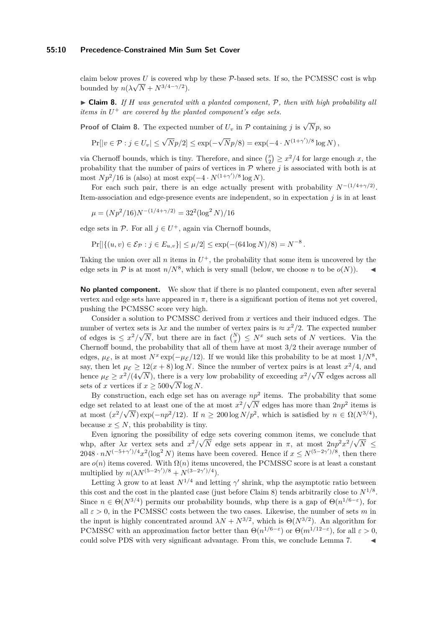#### **55:10 Precedence-Constrained Min Sum Set Cover**

claim below proves *U* is covered whp by these  $P$ -based sets. If so, the PCMSSC cost is whp bounded by  $n(\lambda \sqrt{N} + N^{3/4 - \gamma/2})$ .

<span id="page-9-0"></span> $\triangleright$  **Claim 8.** If *H* was generated with a planted component,  $\mathcal{P}$ , then with high probability all *items in U* <sup>+</sup> *are covered by the planted component's edge sets.*

**Proof of Claim [8.](#page-9-0)** The expected number of  $U_v$  in  $\mathcal P$  containing *j* is  $\sqrt{N}p$ , so

$$
\Pr[|v \in \mathcal{P} : j \in U_v] \le \sqrt{N}p/2] \le \exp(-\sqrt{N}p/8) = \exp(-4 \cdot N^{(1+\gamma')/8} \log N),
$$

via Chernoff bounds, which is tiny. Therefore, and since  $\binom{x}{2} \geq x^2/4$  for large enough *x*, the probability that the number of pairs of vertices in  $P$  where  $j$  is associated with both is at most  $Np^2/16$  is (also) at most  $\exp(-4 \cdot N^{(1+\gamma')/8} \log N)$ .

For each such pair, there is an edge actually present with probability  $N^{-(1/4+\gamma/2)}$ . Item-association and edge-presence events are independent, so in expectation *j* is in at least

$$
\mu = (Np^2/16)N^{-(1/4+\gamma/2)} = 32^2(\log^2 N)/16
$$

edge sets in  $\mathcal{P}$ . For all  $j \in U^+$ , again via Chernoff bounds,

$$
Pr[|\{(u, v) \in \mathcal{E}_{\mathcal{P}} : j \in E_{u,v}\}| \le \mu/2] \le \exp(-(64 \log N)/8) = N^{-8}.
$$

Taking the union over all  $n$  items in  $U^+$ , the probability that some item is uncovered by the edge sets in  $P$  is at most  $n/N^8$ , which is very small (below, we choose *n* to be  $o(N)$ ).

**No planted component.** We show that if there is no planted component, even after several vertex and edge sets have appeared in  $\pi$ , there is a significant portion of items not yet covered, pushing the PCMSSC score very high.

Consider a solution to PCMSSC derived from *x* vertices and their induced edges. The number of vertex sets is  $\lambda x$  and the number of vertex pairs is  $\approx x^2/2$ . The expected number of edges is  $\leq x^2/\sqrt{N}$ , but there are in fact  $\binom{N}{x} \leq N^x$  such sets of *N* vertices. Via the Chernoff bound, the probability that all of them have at most 3*/*2 their average number of edges,  $\mu_{\mathcal{E}}$ , is at most  $N^x \exp(-\mu_{\mathcal{E}}/12)$ . If we would like this probability to be at most  $1/N^8$ , say, then let  $\mu_{\mathcal{E}} \geq 12(x+8) \log N$ . Since the number of vertex pairs is at least  $x^2/4$ , and hence  $\mu_{\mathcal{E}} \geq x^2/(4\sqrt{N})$ , there is a very low probability of exceeding  $x^2/\sqrt{N}$  edges across all hence  $\mu_{\mathcal{E}} \geq x^2/(4\sqrt{N})$ , there is a very low probability of exceeding  $x^2/\sqrt{N}$  edges across all sets of *x* vertices if  $x \ge 500\sqrt{N} \log N$ .

By construction, each edge set has on average  $np^2$  items. The probability that some edge set related to at least one of the at most  $x^2/\sqrt{N}$  edges has more than  $2np^2$  items is at most  $(x^2/\sqrt{N}) \exp(-np^2/12)$ . If  $n \geq 200 \log N/p^2$ , which is satisfied by  $n \in \Omega(N^{3/4})$ , because  $x \leq N$ , this probability is tiny.

Even ignoring the possibility of edge sets covering common items, we conclude that whp, after  $\lambda x$  vertex sets and  $x^2/\sqrt{N}$  edge sets appear in  $\pi$ , at most  $2np^2x^2/\sqrt{N} \leq$  $2048 \cdot nN^{(-5+\gamma')/4}x^2(\log^2 N)$  items have been covered. Hence if  $x \le N^{(5-2\gamma')/8}$ , then there are  $o(n)$  items covered. With  $\Omega(n)$  items uncovered, the PCMSSC score is at least a constant multiplied by  $n(\lambda N^{(5-2\gamma')/8} + N^{(3-2\gamma')/4})$ .

Letting  $\lambda$  grow to at least  $N^{1/4}$  and letting  $\gamma'$  shrink, whp the asymptotic ratio between this cost and the cost in the planted case (just before Claim [8\)](#page-9-0) tends arbitrarily close to  $N^{1/8}$ . Since  $n \in \Theta(N^{3/4})$  permits our probability bounds, whp there is a gap of  $\Theta(n^{1/6-\epsilon})$ , for all  $\varepsilon > 0$ , in the PCMSSC costs between the two cases. Likewise, the number of sets *m* in the input is highly concentrated around  $\lambda N + N^{3/2}$ , which is  $\Theta(N^{3/2})$ . An algorithm for PCMSSC with an approximation factor better than  $\Theta(n^{1/6-\epsilon})$  or  $\Theta(m^{1/12-\epsilon})$ , for all  $\varepsilon > 0$ , could solve PDS with very significant advantage. From this, we conclude Lemma [7.](#page-8-0)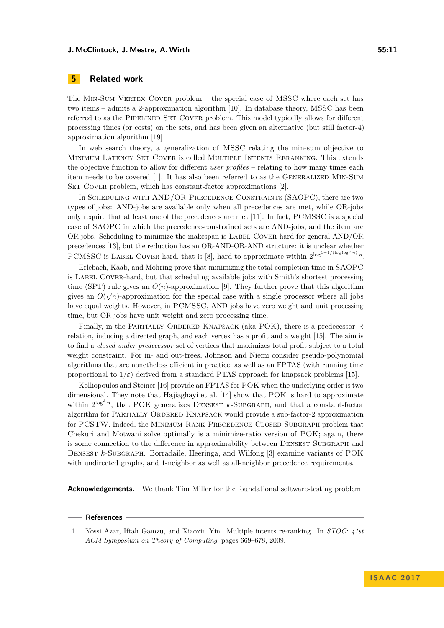#### **J. McClintock, J. Mestre, A. Wirth 55:11**

## **5 Related work**

The Min-Sum Vertex Cover problem – the special case of MSSC where each set has two items – admits a 2-approximation algorithm [\[10\]](#page-11-3). In database theory, MSSC has been referred to as the PIPELINED SET COVER problem. This model typically allows for different processing times (or costs) on the sets, and has been given an alternative (but still factor-4) approximation algorithm [\[19\]](#page-11-10).

In web search theory, a generalization of MSSC relating the min-sum objective to Minimum Latency Set Cover is called Multiple Intents Reranking. This extends the objective function to allow for different *user profiles* – relating to how many times each item needs to be covered [\[1\]](#page-10-0). It has also been referred to as the Generalized Min-Sum SET COVER problem, which has constant-factor approximations [\[2\]](#page-11-11).

In SCHEDULING WITH AND/OR PRECEDENCE CONSTRAINTS (SAOPC), there are two types of jobs: AND-jobs are available only when all precedences are met, while OR-jobs only require that at least one of the precedences are met [\[11\]](#page-11-12). In fact, PCMSSC is a special case of SAOPC in which the precedence-constrained sets are AND-jobs, and the item are OR-jobs. Scheduling to minimize the makespan is Label Cover-hard for general AND/OR precedences [\[13\]](#page-11-13), but the reduction has an OR-AND-OR-AND structure: it is unclear whether PCMSSC is LABEL COVER-hard, that is [\[8\]](#page-11-14), hard to approximate within  $2^{\log^{1-1/(\log \log^c n)}} n$ .

Erlebach, Kääb, and Möhring prove that minimizing the total completion time in SAOPC is LABEL COVER-hard, but that scheduling available jobs with Smith's shortest processing time (SPT) rule gives an  $O(n)$ -approximation [\[9\]](#page-11-15). They further prove that this algorithm gives an  $O(\sqrt{n})$ -approximation for the special case with a single processor where all jobs have equal weights. However, in PCMSSC, AND jobs have zero weight and unit processing time, but OR jobs have unit weight and zero processing time.

Finally, in the PARTIALLY ORDERED KNAPSACK (aka POK), there is a predecessor  $\prec$ relation, inducing a directed graph, and each vertex has a profit and a weight [\[15\]](#page-11-7). The aim is to find a *closed under predecessor* set of vertices that maximizes total profit subject to a total weight constraint. For in- and out-trees, Johnson and Niemi consider pseudo-polynomial algorithms that are nonetheless efficient in practice, as well as an FPTAS (with running time proportional to  $1/\varepsilon$ ) derived from a standard PTAS approach for knapsack problems [\[15\]](#page-11-7).

Kolliopoulos and Steiner [\[16\]](#page-11-16) provide an FPTAS for POK when the underlying order is two dimensional. They note that Hajiaghayi et al. [\[14\]](#page-11-17) show that POK is hard to approximate within  $2^{\log^{\delta} n}$ , that POK generalizes DENSEST  $k$ -SUBGRAPH, and that a constant-factor algorithm for PARTIALLY ORDERED KNAPSACK would provide a sub-factor-2 approximation for PCSTW. Indeed, the MINIMUM-RANK PRECEDENCE-CLOSED SUBGRAPH problem that Chekuri and Motwani solve optimally is a minimize-ratio version of POK; again, there is some connection to the difference in approximability between DENSEST SUBGRAPH and DENSEST *k*-SUBGRAPH. Borradaile, Heeringa, and Wilfong [\[3\]](#page-11-18) examine variants of POK with undirected graphs, and 1-neighbor as well as all-neighbor precedence requirements.

**Acknowledgements.** We thank Tim Miller for the foundational software-testing problem.

#### **References**

<span id="page-10-0"></span>**<sup>1</sup>** Yossi Azar, Iftah Gamzu, and Xiaoxin Yin. Multiple intents re-ranking. In *STOC: 41st ACM Symposium on Theory of Computing*, pages 669–678, 2009.